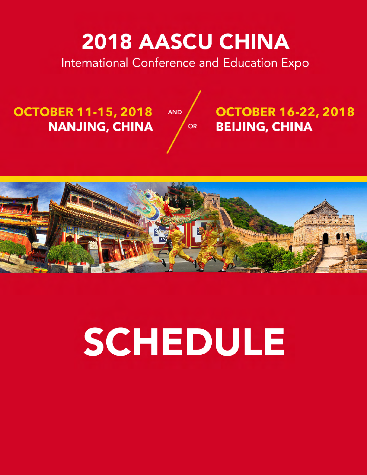## 2018 AASCU CHINA

# SCHEDULE

International Conference and Education Expo

### **OCTOBER 16-22, 2018 BEIJING, CHINA**



## **OCTOBER 11-15, 2018 NANJING, CHINA**

AND

OR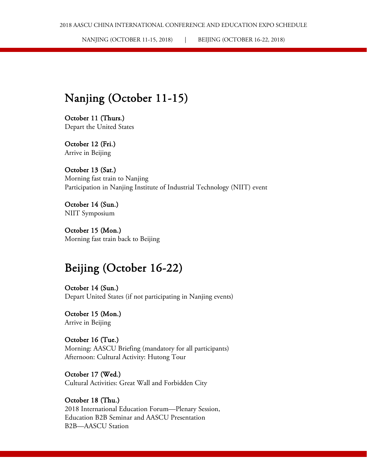NANJING (OCTOBER 11-15, 2018) | BEIJING (OCTOBER 16-22, 2018)

#### Nanjing (October 11-15)

October 11 (Thurs.) Depart the United States

October 12 (Fri.) Arrive in Beijing

October 13 (Sat.) Morning fast train to Nanjing Participation in Nanjing Institute of Industrial Technology (NIIT) event

October 14 (Sun.) NIIT Symposium

October 15 (Mon.) Morning fast train back to Beijing

#### Beijing (October 16-22)

October 14 (Sun.) Depart United States (if not participating in Nanjing events)

October 15 (Mon.) Arrive in Beijing

October 16 (Tue.) Morning: AASCU Briefing (mandatory for all participants) Afternoon: Cultural Activity: Hutong Tour

October 17 (Wed.) Cultural Activities: Great Wall and Forbidden City

#### October 18 (Thu.) 2018 International Education Forum—Plenary Session,

Education B2B Seminar and AASCU Presentation B2B—AASCU Station